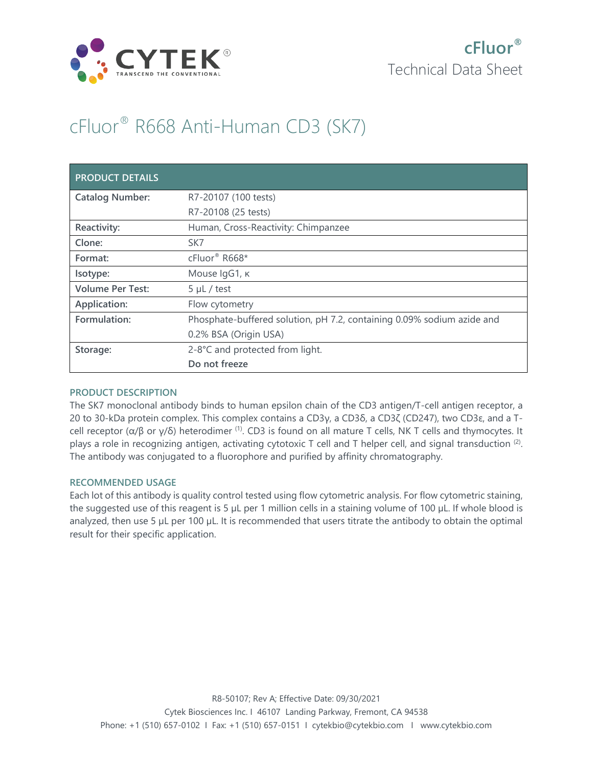

# cFluor® R668 Anti-Human CD3 (SK7)

| <b>PRODUCT DETAILS</b>  |                                                                        |
|-------------------------|------------------------------------------------------------------------|
| <b>Catalog Number:</b>  | R7-20107 (100 tests)                                                   |
|                         | R7-20108 (25 tests)                                                    |
| Reactivity:             | Human, Cross-Reactivity: Chimpanzee                                    |
| Clone:                  | SK7                                                                    |
| Format:                 | cFluor® R668*                                                          |
| Isotype:                | Mouse IgG1, к                                                          |
| <b>Volume Per Test:</b> | $5 \mu L$ / test                                                       |
| Application:            | Flow cytometry                                                         |
| Formulation:            | Phosphate-buffered solution, pH 7.2, containing 0.09% sodium azide and |
|                         | 0.2% BSA (Origin USA)                                                  |
| Storage:                | 2-8°C and protected from light.                                        |
|                         | Do not freeze                                                          |

## **PRODUCT DESCRIPTION**

The SK7 monoclonal antibody binds to human epsilon chain of the CD3 antigen/T-cell antigen receptor, a 20 to 30-kDa protein complex. This complex contains a CD3γ, a CD3δ, a CD3ζ (CD247), two CD3ε, and a Tcell receptor (α/β or γ/δ) heterodimer (1). CD3 is found on all mature T cells, NK T cells and thymocytes. It plays a role in recognizing antigen, activating cytotoxic T cell and T helper cell, and signal transduction  $(2)$ . The antibody was conjugated to a fluorophore and purified by affinity chromatography.

## **RECOMMENDED USAGE**

Each lot of this antibody is quality control tested using flow cytometric analysis. For flow cytometric staining, the suggested use of this reagent is 5 µL per 1 million cells in a staining volume of 100 µL. If whole blood is analyzed, then use 5 µL per 100 µL. It is recommended that users titrate the antibody to obtain the optimal result for their specific application.